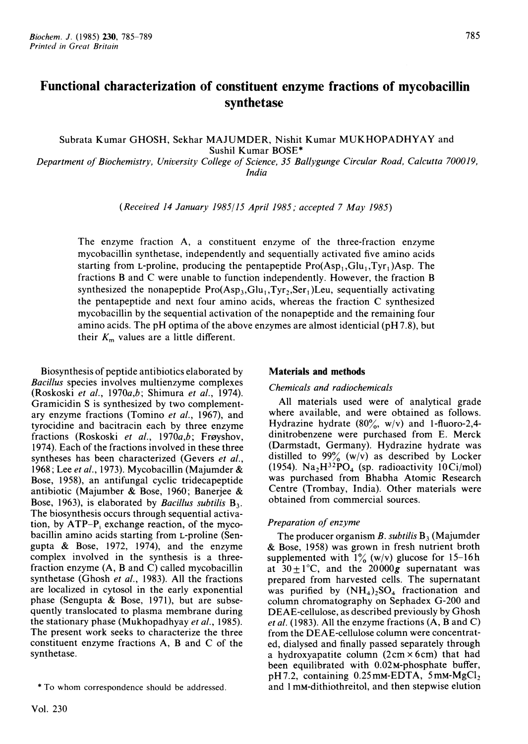# Functional characterization of constituent enzyme fractions of mycobacillin synthetase

Subrata Kumar GHOSH, Sekhar MAJUMDER, Nishit Kumar MUKHOPADHYAY and Sushil Kumar BOSE\*

Department of Biochemistry, University College of Science, 35 Ballygunge Circular Road, Calcutta 700019, India

(Received <sup>14</sup> January 1985/15 April 1985; accepted <sup>7</sup> May 1985)

The enzyme fraction A, a constituent enzyme of the three-fraction enzyme mycobacillin synthetase, independently and sequentially activated five amino acids starting from L-proline, producing the pentapeptide  $Pro(Asp_1, Glu_1, Tvr_1)Asp.$  The fractions B and C were unable to function independently. However, the fraction B synthesized the nonapeptide  $Pro(Asp_3, Glu_1, Tyr_2, Ser_1)$ Leu, sequentially activating the pentapeptide and next four amino acids, whereas the fraction C synthesized mycobacillin by the sequential activation of the nonapeptide and the remaining four amino acids. The pH optima of the above enzymes are almost identicial (pH 7.8), but their  $K<sub>m</sub>$  values are a little different.

Biosynthesis of peptide antibiotics elaborated by Bacillus species involves multienzyme complexes (Roskoski et al., 1970a,b; Shimura et al., 1974). Gramicidin S is synthesized by two complementary enzyme fractions (Tomino et al., 1967), and tyrocidine and bacitracin each by three enzyme fractions (Roskoski et al., 1970 $a,b$ ; Frøyshov, 1974). Each of the fractions involved in these three syntheses has been characterized (Gevers et al., 1968; Lee et al., 1973). Mycobacillin (Majumder & Bose, 1958), an antifungal cyclic tridecapeptide antibiotic (Majumber & Bose, 1960; Banerjee & Bose, 1963), is elaborated by *Bacillus subtilis*  $B_3$ . The biosynthesis occurs through sequential activation, by  $ATP-P_i$  exchange reaction, of the mycobacillin amino acids starting from L-proline (Sengupta & Bose, 1972, 1974), and the enzyme complex involved in the synthesis is a threefraction enzyme (A, B and C) called mycobacillin synthetase (Ghosh et al., 1983). All the fractions are localized in cytosol in the early exponential phase (Sengupta & Bose, 1971), but are subsequently translocated to plasma membrane during the stationary phase (Mukhopadhyay et al., 1985). The present work seeks to characterize the three constituent enzyme fractions A, B and C of the synthetase.

# Materials and methods

# Chemicals and radiochemicals

All materials used were of analytical grade where available, and were obtained as follows. Hydrazine hydrate  $(80\% , w/v)$  and 1-fluoro-2,4dinitrobenzene were purchased from E. Merck (Darmstadt, Germany). Hydrazine hydrate was distilled to  $99\%$  (w/v) as described by Locker (1954). Na<sub>2</sub>H<sup>32</sup>PO<sub>4</sub> (sp. radioactivity 10Ci/mol) was purchased from Bhabha Atomic Research Centre (Trombay, India). Other materials were obtained from commercial sources.

#### Preparation of enzyme

The producer organism B. subtilis  $B_3$  (Majumder & Bose, 1958) was grown in fresh nutrient broth supplemented with  $1\%$  (w/v) glucose for 15-16h at  $30 \pm 1^{\circ}$ C, and the 20000g supernatant was prepared from harvested cells. The supernatant was purified by  $(NH_4)_2SO_4$  fractionation and column chromatography on Sephadex G-200 and DEAE-cellulose, as described previously by Ghosh et al. (1983). All the enzyme fractions (A, B and C) from the DEAE-cellulose column were concentrated, dialysed and finally passed separately through a hydroxyapatite column  $(2 \text{ cm} \times 6 \text{ cm})$  that had been equilibrated with  $0.02$ M-phosphate buffer,  $pH7.2$ , containing 0.25 mm-EDTA, 5 mm-MgCl<sub>2</sub> and <sup>1</sup> mM-dithiothreitol, and then stepwise elution

<sup>\*</sup> To whom correspondence should be addressed.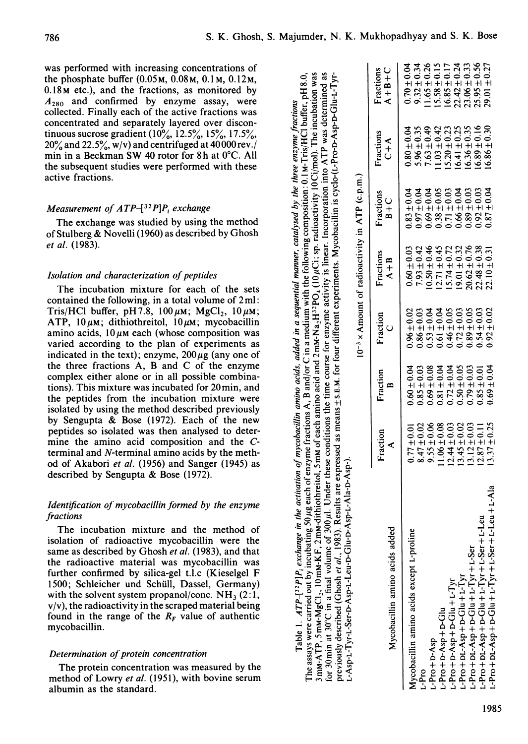was performed with increasing concentrations of the phosphate buffer  $(0.05M, 0.08M, 0.1M, 0.12M,$ 0.18M etc.), and the fractions, as monitored by  $A_{280}$  and confirmed by enzyme assay, were collected. Finally each of the active fractions was concentrated and separately layered over discontinuous sucrose gradient  $(10\%, 12.5\%, 15\%, 17.5\%$  $20\%$  and  $22.5\%$ , w/v) and centrifuged at 40000 rev./ min in a Beckman SW 40 rotor for 8h at 0°C. All the subsequent studies were performed with these active fractions.

### Measurement of  $ATP$ -[32P]P<sub>i</sub> exchange

The exchange was studied by using the method of Stulberg & Novelli (1960) as described by Ghosh et al. (1983).

#### Isolation and characterization of peptides

The incubation mixture for each of the sets contained the following, in a total volume of 2ml: Tris/HCl buffer, pH7.8,  $100 \mu$ M; MgCl<sub>2</sub>,  $10 \mu$ M; ATP,  $10 \mu$ M; dithiothreitol,  $10 \mu$ M; mycobacillin amino acids,  $10 \mu$ M each (whose composition was varied according to the plan of experiments as indicated in the text); enzyme,  $200 \mu$ g (any one of the three fractions A, B and C of the enzyme complex either alone or in all possible combinations). This mixture was incubated for 20min, and the peptides from the incubation mixture were isolated by using the method described previously by Sengupta & Bose (1972). Each of the new peptides so isolated was then analysed to determine the amino acid composition and the Cterminal and N-terminal amino acids by the method of Akabori et al. (1956) and Sanger (1945) as described by Sengupta & Bose (1972).

# Identification of mycobacillin formed by the enzyme fractions

The incubation mixture and the method of isolation of radioactive mycobacillin were the same as described by Ghosh et al. (1983), and that the radioactive material was mycobacillin was further confirmed by silica-gel t.l.c (Kieselgel F 1500; Schleicher und Schiill, Dassel, Germany) with the solvent system propanol/conc.  $NH<sub>3</sub>$  (2:1,  $v/v$ , the radioactivity in the scraped material being found in the range of the  $R_F$  value of authentic mycobacillin.

# Determination of protein concentration

The protein concentration was measured by the method of Lowry et al. (1951), with bovine serum albumin as the standard.

| 3mM-ATP, 5mM-MgCl <sub>3</sub> , 10mM-KF, 2mM-dithiothreitol, 5mM of each amino acid and 2mM-Na <sub>2</sub> H <sup>32</sup> PO <sub>4</sub> (10µCl; sp. radioactivity 10Cl/mol). The incubation was<br>previously described (Ghosh et al., 1983). Results are expressed as means + s.E.M. for four different experiments. Mycobacillin is cyclo-(L-Pro-D-Asp-D-Glu-L-Tyr-<br>for 30 min at 30°C in a final volume of 300 µl. Under these conditions the time course for enzyme activity is linear. Incorporation into ATP was determined as<br>The assays were carried out by incubating 50 µg each of enzyme fractions A, B and/or C in a medium with the following composition: 0.1 M-Tris/HCl buffer, pH8.0,<br>L-Asp-L-Tyr-L-Ser-D-Asp-L-Leu-D-Glu-D-Asp-L-Ala-D-Asp-).<br>Table 1. $ATP^{-132}P_1P_2$ exchange | in the activation of mycobacillin amino acids, added in a sequential manner, catalysed by the three enzyme fractions |                 |                     | $10^{-3}$ × Amount of radioactivity in ATP (c.p.m.) |                      |                           |                          |
|----------------------------------------------------------------------------------------------------------------------------------------------------------------------------------------------------------------------------------------------------------------------------------------------------------------------------------------------------------------------------------------------------------------------------------------------------------------------------------------------------------------------------------------------------------------------------------------------------------------------------------------------------------------------------------------------------------------------------------------------------------------------------------------------------------------------|----------------------------------------------------------------------------------------------------------------------|-----------------|---------------------|-----------------------------------------------------|----------------------|---------------------------|--------------------------|
| Mycobacillin amino acids added                                                                                                                                                                                                                                                                                                                                                                                                                                                                                                                                                                                                                                                                                                                                                                                       | Fraction<br>⋖                                                                                                        | Fraction<br>m   | Fraction<br>$\circ$ | Fractions<br>$A + B$                                | Fractions<br>$B + C$ | Fractions<br>$C + \Delta$ | Fractions<br>$A + B + C$ |
|                                                                                                                                                                                                                                                                                                                                                                                                                                                                                                                                                                                                                                                                                                                                                                                                                      |                                                                                                                      |                 |                     |                                                     |                      |                           |                          |
| Mycobacillin amino acids except L-proline                                                                                                                                                                                                                                                                                                                                                                                                                                                                                                                                                                                                                                                                                                                                                                            | $0.77 \pm 0.01$                                                                                                      | $0.60 \pm 0.04$ | $0.96 + 0.02$       | $0.60 + 0.03$                                       | $0.83 + 0.04$        | $0.80 \pm 0.04$           | $0.70 \pm 0.04$          |
| L-Pro                                                                                                                                                                                                                                                                                                                                                                                                                                                                                                                                                                                                                                                                                                                                                                                                                | $8.47 \pm 0.02$                                                                                                      | $0.85 \pm 0.03$ | $0.86 \pm 0.03$     | $7.93 \pm 0.42$                                     | $0.97 \pm 0.04$      | $5.96 \pm 0.35$           | $9.32 \pm 0.34$          |
|                                                                                                                                                                                                                                                                                                                                                                                                                                                                                                                                                                                                                                                                                                                                                                                                                      | $9.55 + 0.06$                                                                                                        | $0.69 \pm 0.08$ | $0.53 \pm 0.04$     | $10.50 \pm 0.46$                                    | $0.69 \pm 0.04$      | $7.63 \pm 0.49$           | $1.65 + 0.26$            |
| L-Pro+D-Asp                                                                                                                                                                                                                                                                                                                                                                                                                                                                                                                                                                                                                                                                                                                                                                                                          | $1.06 \pm 0.08$                                                                                                      | $0.81 \pm 0.04$ | $0.61 \pm 0.04$     | $12.71 \pm 0.45$                                    | $0.38 \pm 0.05$      | $1.03 + 0.42$             | $5.58 \pm 0.15$          |
| L-Pro+D-Asp+D-Glu                                                                                                                                                                                                                                                                                                                                                                                                                                                                                                                                                                                                                                                                                                                                                                                                    | $12.44 \pm 0.03$                                                                                                     | $0.72 \pm 0.04$ | $0.46 \pm 0.05$     | $15.74 \pm 0.72$                                    | $0.71 \pm 0.03$      | $5.20 \pm 0.23$           | $16.85 \pm 0.17$         |
| $L-Pro+D-Asp+Glu+L-Tyr$                                                                                                                                                                                                                                                                                                                                                                                                                                                                                                                                                                                                                                                                                                                                                                                              |                                                                                                                      |                 |                     | $19.01 \pm 0.32$                                    | $0.66 \pm 0.04$      | $16.41 \pm 0.25$          | $22.42 \pm 0.24$         |
| $L-Pro+DL-Asp+D-Glu+L-Tyr$                                                                                                                                                                                                                                                                                                                                                                                                                                                                                                                                                                                                                                                                                                                                                                                           | $13.45 \pm 0.02$                                                                                                     | $0.50 \pm 0.05$ | $0.72 \pm 0.03$     |                                                     |                      |                           |                          |
| $L-Pro + DL-Asp + D-Glu + L-Tyr + L-Set$                                                                                                                                                                                                                                                                                                                                                                                                                                                                                                                                                                                                                                                                                                                                                                             | $13.12 \pm 0.03$                                                                                                     | $0.79 \pm 0.03$ | $0.89 \pm 0.05$     | $20.62 \pm 0.76$                                    | $0.89 \pm 0.03$      | $16.36 \pm 0.35$          | $23.06 \pm 0.33$         |
| $L-Pro + DC-Asp + D-Glu + L-Tyr + L-Set + L-Leu$                                                                                                                                                                                                                                                                                                                                                                                                                                                                                                                                                                                                                                                                                                                                                                     | $.2.87 \pm 0.1$                                                                                                      | $0.85 \pm 0.01$ | $0.54 \pm 0.03$     | $22.48 \pm 0.38$                                    | $0.92 \pm 0.03$      | $.6.89 \pm 0.16$          | $25.95 \pm 0.56$         |
| $L$ -Pro + DL-Asp + D-Glu + L-Tyr + L-Ser + L-Leu + L-Ala                                                                                                                                                                                                                                                                                                                                                                                                                                                                                                                                                                                                                                                                                                                                                            | $3.37 \pm 0.25$                                                                                                      | $0.69 \pm 0.04$ | $0.92 \pm 0.02$     | $22.10 \pm 0.31$                                    | $0.87 + 0.04$        | $16.86 \pm 0.30$          | $29.01 \pm 0.27$         |
|                                                                                                                                                                                                                                                                                                                                                                                                                                                                                                                                                                                                                                                                                                                                                                                                                      |                                                                                                                      |                 |                     |                                                     |                      |                           |                          |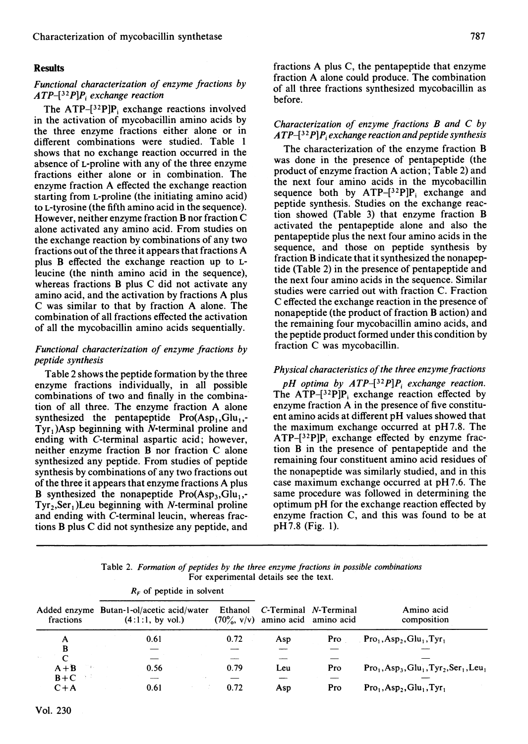# Results

# Functional characterization of enzyme fractions by  $ATP$ -[32P]P<sub>i</sub> exchange reaction

The  $ATP-[32P]P$ , exchange reactions involved in the activation of mycobacillin amino acids by the three enzyme fractions either alone or in different combinations were studied. Table <sup>1</sup> shows that no exchange reaction occurred in the absence of L-proline with any of the three enzyme fractions either alone or in combination. The enzyme fraction A effected the exchange reaction starting from L-proline (the initiating amino acid) to L-tyrosine (the fifth amino acid in the sequence). However, neither enzyme fraction B nor fraction C alone activated any amino acid. From studies on the exchange reaction by combinations of any two fractions out of the three it appears that fractions A plus B effected the exchange reaction up to Lleucine (the ninth amino acid in the sequence), whereas fractions B plus C did not activate any amino acid, and the activation by fractions A plus C was similar to that by fraction A alone. The combination of all fractions effected the activation of all the mycobacillin amino acids sequentially.

# Functional characterization of enzyme fractions by peptide synthesis

Table 2 shows the peptide formation by the three enzyme fractions individually, in all possible combinations of two and finally in the combination of all three. The enzyme fraction A alone synthesized the pentapeptide  $Pro(Asp_1, Glu_1,$ - $Tyr<sub>1</sub>$ )Asp beginning with N-terminal proline and ending with C-terminal aspartic acid; however, neither enzyme fraction B nor fraction C alone synthesized any peptide. From studies of peptide synthesis by combinations of any two fractions out of the three it appears that enzyme fractions A plus B synthesized the nonapeptide  $Pro(Asp_3, Glu_1,$ - $Tyr<sub>2</sub>, Ser<sub>1</sub>)$ Leu beginning with *N*-terminal proline and ending with C-terminal leucin, whereas frac-tions B plus C did not synthesize any peptide, and

 $\mathbf{R}$  of nontide in solvent

fractions A plus C, the pentapeptide that enzyme fraction A alone could produce. The combination of all three fractions synthesized mycobacillin as before.

## Characterization of enzyme fractions B and C by  $ATP$ - $[32P]P_i$  exchange reaction and peptide synthesis

The characterization of the enzyme fraction B was done in the presence of pentapeptide (the product of enzyme fraction A action; Table 2) and the next four amino acids in the mycobacillin sequence both by  $ATP-[32P]P$ ; exchange and peptide synthesis. Studies on the exchange reaction showed (Table 3) that enzyme fraction B activated the pentapeptide alone and also the pentapeptide plus the next four amino acids in the sequence, and those on peptide synthesis by fraction B indicate that it synthesized the nonapeptide (Table 2) in the presence of pentapeptide and the next four amino acids in the sequence. Similar studies were carried out with fraction C. Fraction C effected the exchange reaction in the presence of nonapeptide (the product of fraction B action) and the remaining four mycobacillin amino acids, and the peptide product formed under this condition by fraction C was mycobacillin.

### Physical characteristics of the three enzyme fractions

pH optima by  $ATP - [3^2P]P_i$  exchange reaction. The  $ATP^{-32}P|P_i$  exchange reaction effected by enzyme fraction A in the presence of five constituent amino acids at different pH values showed that the maximum exchange occurred at pH 7.8. The  $ATP-[32P]P_i$  exchange effected by enzyme fraction B in the presence of pentapeptide and the remaining four constituent amino acid residues of the nonapeptide was similarly studied, and in this case maximum exchange occurred at pH 7.6. The same procedure was followed in determining the optimum pH for the exchange reaction effected by enzyme fraction C, and this was found to be at pH7.8 (Fig. 1).

Table 2. Formation of peptides by the three enzyme fractions in possible combinations For experimental details see the text.

|           | <b><i>NE OF DEPLINE III SOLVEILL</i></b> |                                                               |         |                                     |                       |                                                                 |
|-----------|------------------------------------------|---------------------------------------------------------------|---------|-------------------------------------|-----------------------|-----------------------------------------------------------------|
| fractions |                                          | Added enzyme Butan-1-ol/acetic acid/water<br>(4:1:1, by vol.) | Ethanol | $(70\%, v/v)$ amino acid amino acid | C-Terminal N-Terminal | Amino acid<br>composition                                       |
| A         |                                          | 0.61                                                          | 0.72    | Asp                                 | Pro                   | $Pro1, Asp2, Glu1, Tyr1$                                        |
| B         |                                          |                                                               |         |                                     |                       |                                                                 |
|           |                                          |                                                               |         |                                     |                       |                                                                 |
| $A + B$   |                                          | 0.56                                                          | 0.79    | Leu                                 | Pro                   | $Pro_1, Asp_3, Glu_1, Tyr_2, Ser_1, Leu_1$                      |
| $B+C$     |                                          |                                                               |         |                                     |                       |                                                                 |
| $C+A$     |                                          | 0.61                                                          | 0.72    | Asp                                 | Pro                   | $Pro1$ , Asp <sub>2</sub> , Glu <sub>1</sub> , Tyr <sub>1</sub> |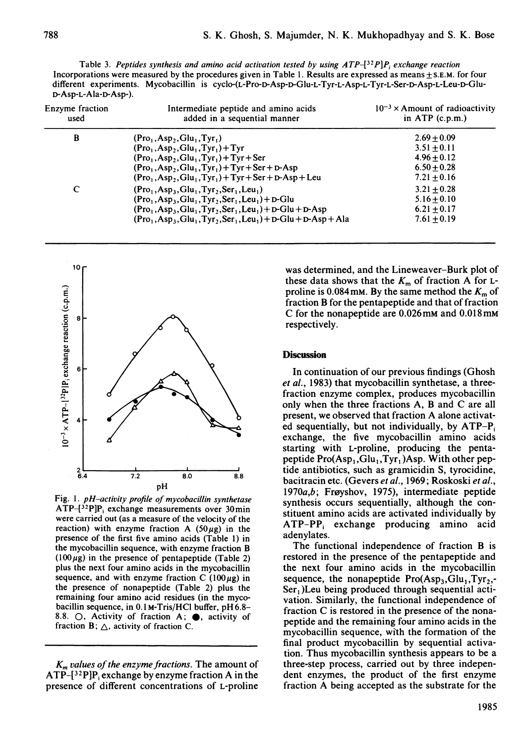Table 3. Peptides synthesis and amino acid activation tested by using  $ATP^{-32}P$ P, exchange reaction Incorporations were measured by the procedures given in Table 1. Results are expressed as means + S.E.M. for four

| Enzyme fraction<br>used | Intermediate peptide and amino acids<br>added in a sequential manner | $10^{-3}$ × Amount of radioactivity<br>in $ATP$ (c.p.m.) |
|-------------------------|----------------------------------------------------------------------|----------------------------------------------------------|
| B                       | $(Pro1, Asp2, Glu1, Tyr1)$                                           | $2.69 + 0.09$                                            |
|                         | $(Pro1, Asp2, Glu1, Tyr1) + Tyr$                                     | $3.51 + 0.11$                                            |
|                         | $(Pro1, Asp2, Glu1, Tyr1) + Tyr + Ser$                               | $4.96 + 0.12$                                            |
|                         | $(Pro1, Asp2, Glu1, Tyr1) + Tyr + Ser + D-Asp$                       | $6.50 + 0.28$                                            |
|                         | $(Pro1, Asp2, Glu1, Tyr1) + Tyr + Ser + D-Asp + Leu$                 | $7.21 \pm 0.16$                                          |
| C                       | $(Pro_1, Asp_3, Glu_1, Tyr_2, Ser_1, Leu_1)$                         | $3.21 + 0.28$                                            |
|                         | $(Pro_1, Asp_3, Glu_1, Tvr_2, Ser_1, Leu_1) + D-Glu$                 | $5.16 + 0.10$                                            |
|                         | $(Pro1, Asp3, Glu1, Tyr2, Ser1, Leu1) + D-Glu + D-Asp$               | $6.21 + 0.17$                                            |
|                         | $(Pro_1, Asp_3, Glu_1, Tryr_2, Ser_1, Leu_1) + D-Glu + D-Asp + Ala$  | $7.61 + 0.19$                                            |

different experiments. Mycobacillin is cyclo-(L-Pro-D-Asp-D-Glu-L-Tyr-L-Asp-L-Tyr-L-Ser-D-Asp-L-Leu-D-Glu-



reaction) with enzyme fraction A (50µg) in the  $A I I = I F_i$ <br>presence of the first five amino acids (Table 1) in adenylates. presence of the first five amino acids  $(Table 1)$  in additional independence of fraction B is<br>the mycobacillin sequence with enzyme fraction B the mycobacillin sequence, with enzyme fraction B

presence of different concentrations of L-proline

these data shows that the  $K_m$  of fraction A for Lfraction B for the pentapeptide and that of fraction C for the nonapeptide are 0.026mM and 0.018mM respectively.

In continuation of our previous findings (Ghosh et al., 1983) that mycobacillin synthetase, a threefraction enzyme complex, produces mycobacillin only when the three fractions A, B and C are all present, we observed that fraction A alone activated sequentially, but not individually, by  $ATP-P_i$ exchange, the five mycobacillin amino acids starting with L-proline, producing the pentapeptide  $Pro(Asp_1, Glu_1, Tyr_1)Asp.$  With other pep- $\frac{2}{6.4}$   $\frac{1}{7.2}$   $\frac{1}{8.0}$   $\frac{1}{8.8}$  tide antibiotics, such as gramicidin S, tyrocidine, 6.4 6.0 6.0 bacitracin etc. (Gevers *et al.*, 1969; Roskoski *et al.*, pH-activity profile of mycobacillin synthetase 1970a,b; Frayshov, 1975), intermediate peptide synthesis occurs sequentially, although the con-ATP-[32P]Pj exchange measurements over 30min \* \* \* \* \* \* were carried out (as a measure of the velocity of the stituent amino acids are activated individually by  $\text{ATP-PP}_i$  exchange producing amino acid

 $(100 \mu g)$  in the presence of pentapeptide (Table 2) restored in the presence of the pentapeptide and plus the next four amino acids in the mycobacillin the next four amino acids in the mycobacillin sequence, and with enzyme fraction C (100 $\mu$ g) in sequence, the nonapeptide Pro(Asp<sub>3</sub>,Glu<sub>1</sub>,Tyr<sub>2</sub>,-<br>the presence of nonapeptide (Table 2) plus the Ser. If en being produced through sequential acti- $\text{Ser}_1$ ) Leu being produced through sequential actiremaining four amino acid residues (in the myco- vation. Similarly, the functional independence of bacillin sequence, in 0.1 M-Tris/HCl buffer, pH 6.8-<br>8.8.  $\bigcirc$ , Activity of fraction A;  $\bigcirc$ , activity of nontide and the presence for a spin a saids in the  $8.8.$  0, Activity of fraction A;  $\bullet$ , activity of  $\bullet$  peptide and the remaining four amino acids in the fraction B;  $\triangle$ , activity of fraction C. final product mycobacillin by sequential activation. Thus mycobacillin synthesis appears to be a  $K_m$  values of the enzyme fractions. The amount of three-step process, carried out by three indepen-<br>TP-[32P]P, exchange by enzyme fraction A in the dent enzymes, the product of the first enzyme  $ATP-{32P}P_i$  exchange by enzyme fraction A in the dent enzymes, the product of the first enzyme fraction A being accepted as the substrate for the